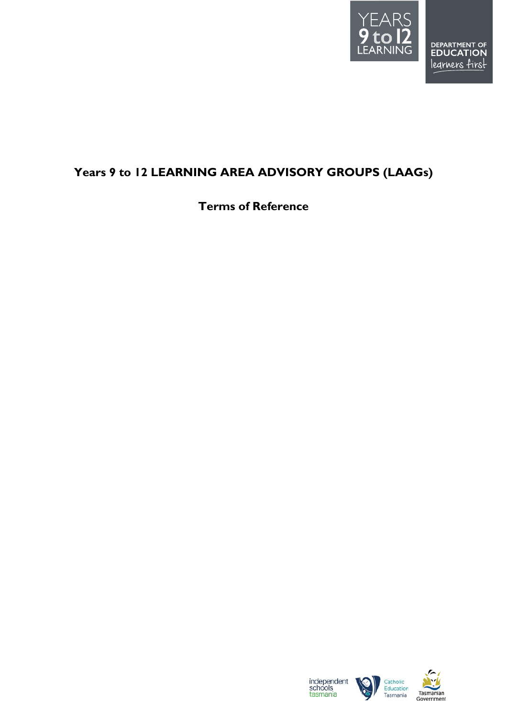

## <span id="page-0-1"></span><span id="page-0-0"></span>**Years 9 to 12 LEARNING AREA ADVISORY GROUPS (LAAGs)**

**Terms of Reference**



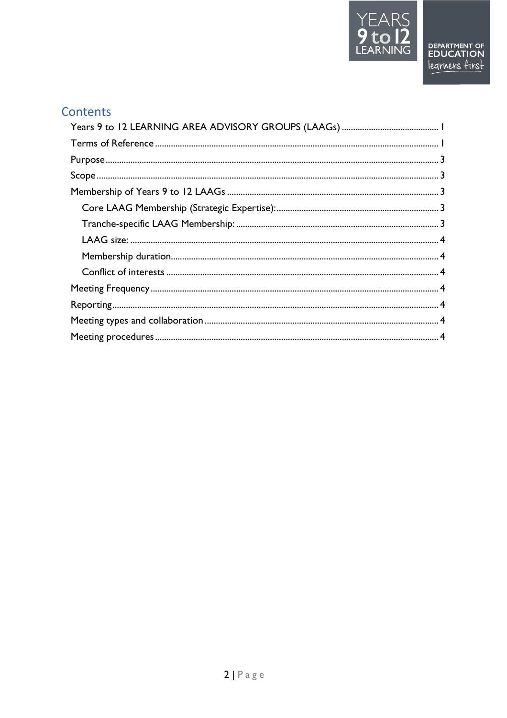

# Contents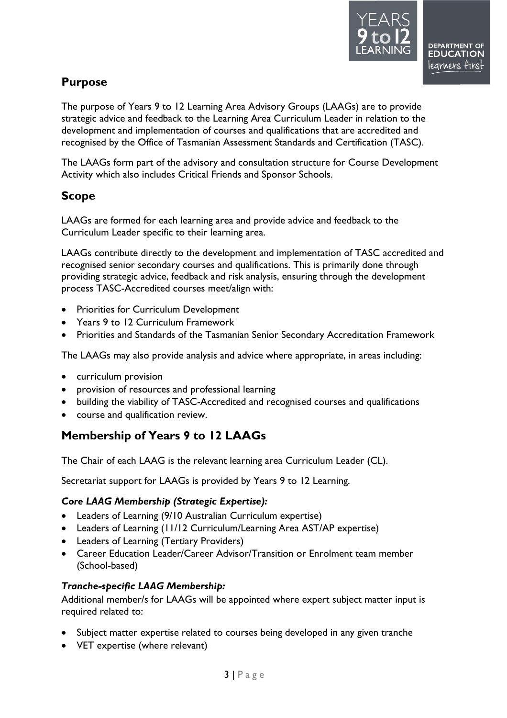

### <span id="page-2-0"></span>**Purpose**

The purpose of Years 9 to 12 Learning Area Advisory Groups (LAAGs) are to provide strategic advice and feedback to the Learning Area Curriculum Leader in relation to the development and implementation of courses and qualifications that are accredited and recognised by the Office of Tasmanian Assessment Standards and Certification (TASC).

The LAAGs form part of the advisory and consultation structure for Course Development Activity which also includes Critical Friends and Sponsor Schools.

### <span id="page-2-1"></span>**Scope**

LAAGs are formed for each learning area and provide advice and feedback to the Curriculum Leader specific to their learning area.

LAAGs contribute directly to the development and implementation of TASC accredited and recognised senior secondary courses and qualifications. This is primarily done through providing strategic advice, feedback and risk analysis, ensuring through the development process TASC-Accredited courses meet/align with:

- Priorities for Curriculum Development
- Years 9 to 12 Curriculum Framework
- Priorities and Standards of the Tasmanian Senior Secondary Accreditation Framework

The LAAGs may also provide analysis and advice where appropriate, in areas including:

- curriculum provision
- provision of resources and professional learning
- building the viability of TASC-Accredited and recognised courses and qualifications
- course and qualification review.

### <span id="page-2-2"></span>**Membership of Years 9 to 12 LAAGs**

The Chair of each LAAG is the relevant learning area Curriculum Leader (CL).

Secretariat support for LAAGs is provided by Years 9 to 12 Learning.

#### <span id="page-2-3"></span>*Core LAAG Membership (Strategic Expertise):*

- Leaders of Learning (9/10 Australian Curriculum expertise)
- Leaders of Learning (11/12 Curriculum/Learning Area AST/AP expertise)
- Leaders of Learning (Tertiary Providers)
- Career Education Leader/Career Advisor/Transition or Enrolment team member (School-based)

#### <span id="page-2-4"></span>*Tranche-specific LAAG Membership:*

Additional member/s for LAAGs will be appointed where expert subject matter input is required related to:

- Subject matter expertise related to courses being developed in any given tranche
- VET expertise (where relevant)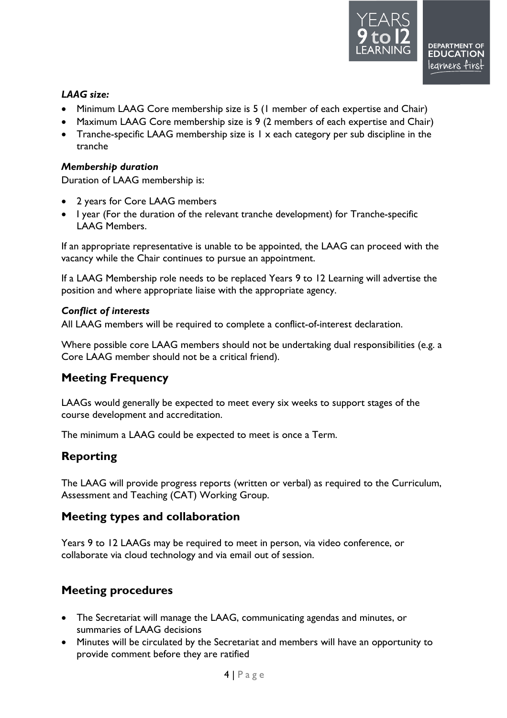#### <span id="page-3-0"></span>*LAAG size:*

- Minimum LAAG Core membership size is 5 (1 member of each expertise and Chair)
- Maximum LAAG Core membership size is 9 (2 members of each expertise and Chair)
- Tranche-specific LAAG membership size is 1 x each category per sub discipline in the tranche

#### <span id="page-3-1"></span>*Membership duration*

Duration of LAAG membership is:

- 2 years for Core LAAG members
- I year (For the duration of the relevant tranche development) for Tranche-specific LAAG Members.

If an appropriate representative is unable to be appointed, the LAAG can proceed with the vacancy while the Chair continues to pursue an appointment.

If a LAAG Membership role needs to be replaced Years 9 to 12 Learning will advertise the position and where appropriate liaise with the appropriate agency.

#### <span id="page-3-2"></span>*Conflict of interests*

All LAAG members will be required to complete a conflict-of-interest declaration.

Where possible core LAAG members should not be undertaking dual responsibilities (e.g. a Core LAAG member should not be a critical friend).

### <span id="page-3-3"></span>**Meeting Frequency**

LAAGs would generally be expected to meet every six weeks to support stages of the course development and accreditation.

The minimum a LAAG could be expected to meet is once a Term.

### <span id="page-3-4"></span>**Reporting**

The LAAG will provide progress reports (written or verbal) as required to the Curriculum, Assessment and Teaching (CAT) Working Group.

### <span id="page-3-5"></span>**Meeting types and collaboration**

Years 9 to 12 LAAGs may be required to meet in person, via video conference, or collaborate via cloud technology and via email out of session.

### <span id="page-3-6"></span>**Meeting procedures**

- The Secretariat will manage the LAAG, communicating agendas and minutes, or summaries of LAAG decisions
- Minutes will be circulated by the Secretariat and members will have an opportunity to provide comment before they are ratified